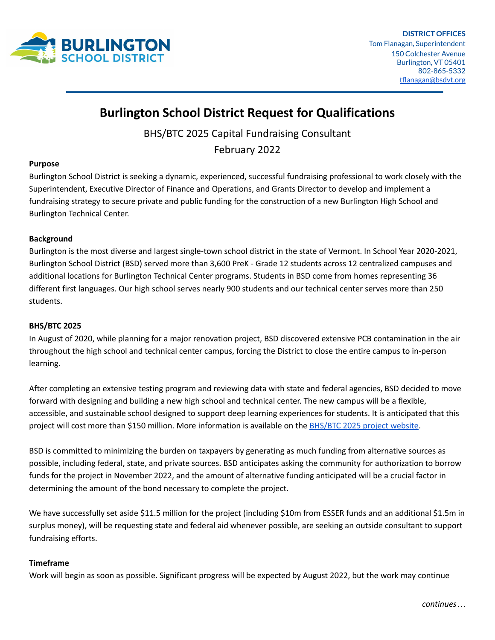

# **Burlington School District Request for Qualifications**

BHS/BTC 2025 Capital Fundraising Consultant

February 2022

# **Purpose**

Burlington School District is seeking a dynamic, experienced, successful fundraising professional to work closely with the Superintendent, Executive Director of Finance and Operations, and Grants Director to develop and implement a fundraising strategy to secure private and public funding for the construction of a new Burlington High School and Burlington Technical Center.

# **Background**

Burlington is the most diverse and largest single-town school district in the state of Vermont. In School Year 2020-2021, Burlington School District (BSD) served more than 3,600 PreK - Grade 12 students across 12 centralized campuses and additional locations for Burlington Technical Center programs. Students in BSD come from homes representing 36 different first languages. Our high school serves nearly 900 students and our technical center serves more than 250 students.

### **BHS/BTC 2025**

In August of 2020, while planning for a major renovation project, BSD discovered extensive PCB contamination in the air throughout the high school and technical center campus, forcing the District to close the entire campus to in-person learning.

After completing an extensive testing program and reviewing data with state and federal agencies, BSD decided to move forward with designing and building a new high school and technical center. The new campus will be a flexible, accessible, and sustainable school designed to support deep learning experiences for students. It is anticipated that this project will cost more than \$150 million. More information is available on the **[BHS/BTC](https://www.bsdvt.org/bhs-btc-2025/) 2025 project website**.

BSD is committed to minimizing the burden on taxpayers by generating as much funding from alternative sources as possible, including federal, state, and private sources. BSD anticipates asking the community for authorization to borrow funds for the project in November 2022, and the amount of alternative funding anticipated will be a crucial factor in determining the amount of the bond necessary to complete the project.

We have successfully set aside \$11.5 million for the project (including \$10m from ESSER funds and an additional \$1.5m in surplus money), will be requesting state and federal aid whenever possible, are seeking an outside consultant to support fundraising efforts.

### **Timeframe**

Work will begin as soon as possible. Significant progress will be expected by August 2022, but the work may continue